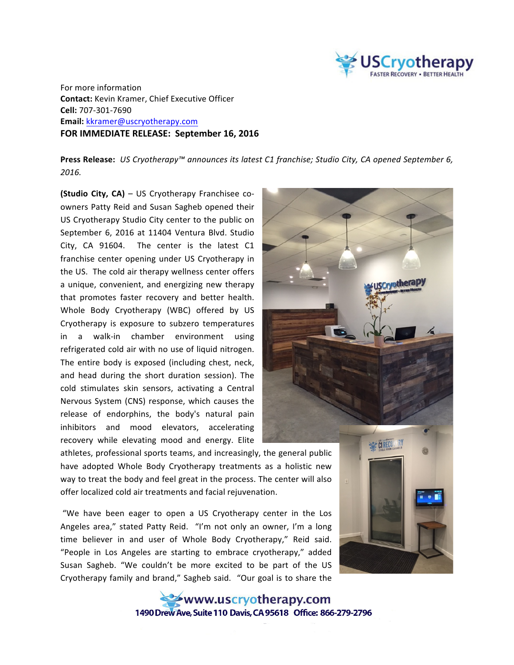

For more information **Contact:** Kevin Kramer, Chief Executive Officer **Cell:** 707-301-7690 **Email:** kkramer@uscryotherapy.com **FOR IMMEDIATE RELEASE: September 16, 2016** 

**Press Release:** *US Cryotherapy™ announces its latest C1 franchise; Studio City, CA opened September 6, 2016.*

**(Studio City, CA)** – US Cryotherapy Franchisee coowners Patty Reid and Susan Sagheb opened their US Cryotherapy Studio City center to the public on September 6, 2016 at 11404 Ventura Blvd. Studio City, CA 91604. The center is the latest C1 franchise center opening under US Cryotherapy in the US. The cold air therapy wellness center offers a unique, convenient, and energizing new therapy that promotes faster recovery and better health. Whole Body Cryotherapy (WBC) offered by US Cryotherapy is exposure to subzero temperatures in a walk-in chamber environment using refrigerated cold air with no use of liquid nitrogen. The entire body is exposed (including chest, neck, and head during the short duration session). The cold stimulates skin sensors, activating a Central Nervous System (CNS) response, which causes the release of endorphins, the body's natural pain inhibitors and mood elevators, accelerating recovery while elevating mood and energy. Elite



athletes, professional sports teams, and increasingly, the general public have adopted Whole Body Cryotherapy treatments as a holistic new way to treat the body and feel great in the process. The center will also offer localized cold air treatments and facial rejuvenation.

"We have been eager to open a US Cryotherapy center in the Los Angeles area," stated Patty Reid. "I'm not only an owner, I'm a long time believer in and user of Whole Body Cryotherapy," Reid said. "People in Los Angeles are starting to embrace cryotherapy," added Susan Sagheb. "We couldn't be more excited to be part of the US Cryotherapy family and brand," Sagheb said. "Our goal is to share the



www.uscryotherapy.com 1490 Drew Ave, Suite 110 Davis, CA 95618 Office: 866-279-2796